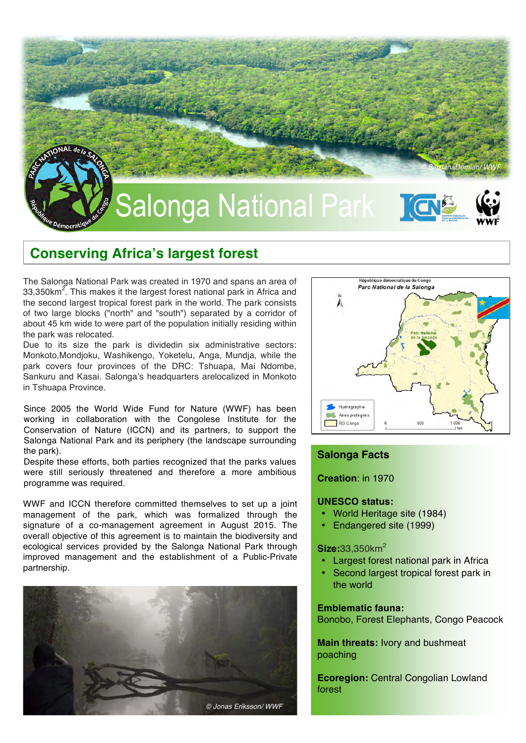

# **Conserving Africa's largest forest**

The Salonga National Park was created in 1970 and spans an area of 33,350km<sup>2</sup>. This makes it the largest forest national park in Africa and the second largest tropical forest park in the world. The park consists of two large blocks ("north" and "south") separated by a corridor of about 45 km wide to were part of the population initially residing within the park was relocated.

Due to its size the park is dividedin six administrative sectors: Monkoto,Mondjoku, Washikengo, Yoketelu, Anga, Mundja, while the park covers four provinces of the DRC: Tshuapa, Mai Ndombe, Sankuru and Kasai. Salonga's headquarters arelocalized in Monkoto in Tshuapa Province.

Since 2005 the World Wide Fund for Nature (WWF) has been working in collaboration with the Congolese Institute for the Conservation of Nature (ICCN) and its partners, to support the Salonga National Park and its periphery (the landscape surrounding the park).

Despite these efforts, both parties recognized that the parks values were still seriously threatened and therefore a more ambitious programme was required.

WWF and ICCN therefore committed themselves to set up a joint management of the park, which was formalized through the signature of a co-management agreement in August 2015. The overall objective of this agreement is to maintain the biodiversity and ecological services provided by the Salonga National Park through improved management and the establishment of a Public-Private partnership.





# **Salonga Facts**

**Creation**: in 1970

# **UNESCO status:**

- World Heritage site (1984)
- Endangered site (1999)

# **Size:**33,350km<sup>2</sup>

- **Largest forest national park in Africa**
- Second largest tropical forest park in the world

#### **Emblematic fauna:**

Bonobo, Forest Elephants, Congo Peacock

**Main threats:** Ivory and bushmeat poaching

**Ecoregion: Central Congolian Lowland** forest